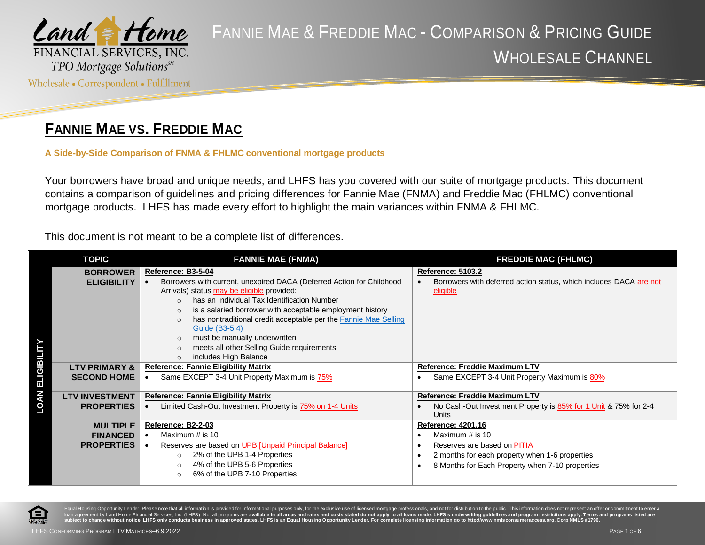

#### **FANNIE MAE VS. FREDDIE MAC**

**A Side-by-Side Comparison of FNMA & FHLMC conventional mortgage products**

Your borrowers have broad and unique needs, and LHFS has you covered with our suite of mortgage products. This document contains a comparison of guidelines and pricing differences for Fannie Mae (FNMA) and Freddie Mac (FHLMC) conventional mortgage products. LHFS has made every effort to highlight the main variances within FNMA & FHLMC.

This document is not meant to be a complete list of differences.

|                   | <b>TOPIC</b>          | <b>FANNIE MAE (FNMA)</b>                                                                  | <b>FREDDIE MAC (FHLMC)</b>                                               |
|-------------------|-----------------------|-------------------------------------------------------------------------------------------|--------------------------------------------------------------------------|
|                   | <b>BORROWER</b>       | Reference: B3-5-04                                                                        | Reference: 5103.2                                                        |
|                   | <b>ELIGIBILITY</b>    | Borrowers with current, unexpired DACA (Deferred Action for Childhood                     | Borrowers with deferred action status, which includes DACA are not       |
|                   |                       | Arrivals) status may be eligible provided:<br>has an Individual Tax Identification Number | eligible                                                                 |
|                   |                       | is a salaried borrower with acceptable employment history<br>$\Omega$                     |                                                                          |
|                   |                       | has nontraditional credit acceptable per the Fannie Mae Selling<br>$\Omega$               |                                                                          |
|                   |                       | Guide (B3-5.4)                                                                            |                                                                          |
|                   |                       | must be manually underwritten<br>$\Omega$                                                 |                                                                          |
|                   |                       | meets all other Selling Guide requirements                                                |                                                                          |
|                   | LTV PRIMARY &         | includes High Balance<br>$\circ$<br><b>Reference: Fannie Eligibility Matrix</b>           | <b>Reference: Freddie Maximum LTV</b>                                    |
| <b>ELIGIBILIT</b> | <b>SECOND HOME</b>    | Same EXCEPT 3-4 Unit Property Maximum is 75%                                              | Same EXCEPT 3-4 Unit Property Maximum is 80%                             |
|                   |                       |                                                                                           |                                                                          |
|                   | <b>LTV INVESTMENT</b> | <b>Reference: Fannie Eligibility Matrix</b>                                               | Reference: Freddie Maximum LTV                                           |
| <b>LOAN</b>       | <b>PROPERTIES</b>     | Limited Cash-Out Investment Property is 75% on 1-4 Units                                  | No Cash-Out Investment Property is 85% for 1 Unit & 75% for 2-4<br>Units |
|                   | <b>MULTIPLE</b>       | Reference: B2-2-03                                                                        | <b>Reference: 4201.16</b>                                                |
|                   | <b>FINANCED</b>       | Maximum # is 10                                                                           | Maximum # is 10                                                          |
|                   | <b>PROPERTIES</b>     | Reserves are based on UPB [Unpaid Principal Balance]                                      | Reserves are based on PITIA<br>$\bullet$                                 |
|                   |                       | 2% of the UPB 1-4 Properties<br>$\circ$                                                   | 2 months for each property when 1-6 properties                           |
|                   |                       | 4% of the UPB 5-6 Properties<br>$\circ$<br>6% of the UPB 7-10 Properties<br>$\circ$       | 8 Months for Each Property when 7-10 properties                          |
|                   |                       |                                                                                           |                                                                          |



g Opportunity Lender. Please note that all information is provided for informational purposes only, for the exclusive use of licensed mortgage professionals, and not for distribution to the public. This information does no nt by Land Home Financial Services, Inc. (LHFS). Not all programs are av<mark>ailable in all areas and rates and costs stated do not apply to all loans made. LHFS's underwriting guidelines and program restrictions apply. Terms </mark> hange without notice. LHFS only conducts business in approved states. LHFS is an Egual Housing Opportunity Lender. For co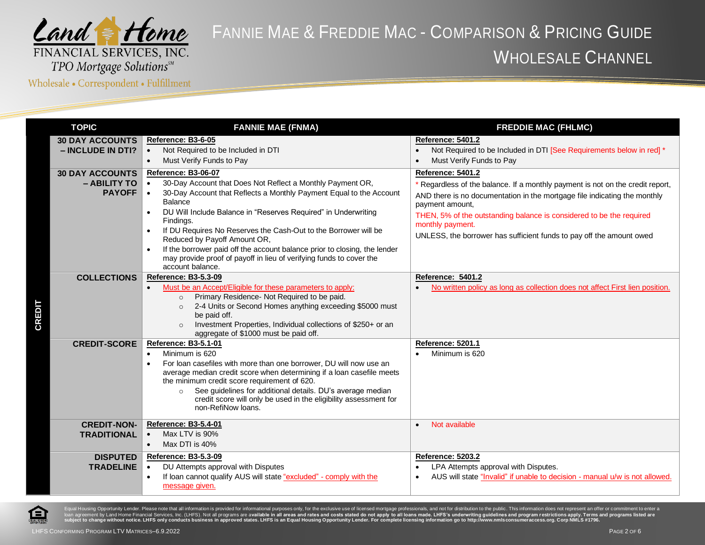

Wholesale • Correspondent • Fulfillment

| <b>TOPIC</b>                                            | <b>FANNIE MAE (FNMA)</b>                                                                                                                                                                                                                                                                                                                                                                                                                                                                                                      | <b>FREDDIE MAC (FHLMC)</b>                                                                                                                                                                                                                                                                                                                                              |
|---------------------------------------------------------|-------------------------------------------------------------------------------------------------------------------------------------------------------------------------------------------------------------------------------------------------------------------------------------------------------------------------------------------------------------------------------------------------------------------------------------------------------------------------------------------------------------------------------|-------------------------------------------------------------------------------------------------------------------------------------------------------------------------------------------------------------------------------------------------------------------------------------------------------------------------------------------------------------------------|
| <b>30 DAY ACCOUNTS</b><br>- INCLUDE IN DTI?             | Reference: B3-6-05<br>Not Required to be Included in DTI<br>Must Verify Funds to Pay<br>$\bullet$                                                                                                                                                                                                                                                                                                                                                                                                                             | <b>Reference: 5401.2</b><br>Not Required to be Included in DTI [See Requirements below in red] *<br>Must Verify Funds to Pay                                                                                                                                                                                                                                            |
| <b>30 DAY ACCOUNTS</b><br>- ABILITY TO<br><b>PAYOFF</b> | Reference: B3-06-07<br>30-Day Account that Does Not Reflect a Monthly Payment OR,<br>30-Day Account that Reflects a Monthly Payment Equal to the Account<br>Balance<br>DU Will Include Balance in "Reserves Required" in Underwriting<br>Findings.<br>If DU Requires No Reserves the Cash-Out to the Borrower will be<br>Reduced by Payoff Amount OR,<br>If the borrower paid off the account balance prior to closing, the lender<br>may provide proof of payoff in lieu of verifying funds to cover the<br>account balance. | Reference: 5401.2<br>* Regardless of the balance. If a monthly payment is not on the credit report,<br>AND there is no documentation in the mortgage file indicating the monthly<br>payment amount,<br>THEN, 5% of the outstanding balance is considered to be the required<br>monthly payment.<br>UNLESS, the borrower has sufficient funds to pay off the amount owed |
| <b>COLLECTIONS</b>                                      | Reference: B3-5.3-09<br>Must be an Accept/Eligible for these parameters to apply:<br>Primary Residence- Not Required to be paid.<br>$\circ$<br>2-4 Units or Second Homes anything exceeding \$5000 must<br>$\circ$<br>be paid off.<br>Investment Properties, Individual collections of \$250+ or an<br>$\circ$<br>aggregate of \$1000 must be paid off.                                                                                                                                                                       | <b>Reference: 5401.2</b><br>No written policy as long as collection does not affect First lien position.                                                                                                                                                                                                                                                                |
| <b>CREDIT-SCORE</b>                                     | <b>Reference: B3-5.1-01</b><br>Minimum is 620<br>$\bullet$<br>For loan casefiles with more than one borrower. DU will now use an<br>average median credit score when determining if a loan casefile meets<br>the minimum credit score requirement of 620.<br>See guidelines for additional details. DU's average median<br>$\circ$<br>credit score will only be used in the eligibility assessment for<br>non-RefiNow loans.                                                                                                  | <b>Reference: 5201.1</b><br>Minimum is 620                                                                                                                                                                                                                                                                                                                              |
| <b>CREDIT-NON-</b><br><b>TRADITIONAL</b>                | <b>Reference: B3-5.4-01</b><br>Max LTV is 90%<br>$\bullet$<br>Max DTI is 40%<br>$\bullet$                                                                                                                                                                                                                                                                                                                                                                                                                                     | Not available<br>$\bullet$                                                                                                                                                                                                                                                                                                                                              |
| <b>DISPUTED</b><br><b>TRADELINE</b>                     | <b>Reference: B3-5.3-09</b><br>DU Attempts approval with Disputes<br>$\bullet$<br>If loan cannot qualify AUS will state "excluded" - comply with the<br>message given.                                                                                                                                                                                                                                                                                                                                                        | Reference: 5203.2<br>LPA Attempts approval with Disputes.<br>AUS will state "Invalid" if unable to decision - manual u/w is not allowed.                                                                                                                                                                                                                                |

A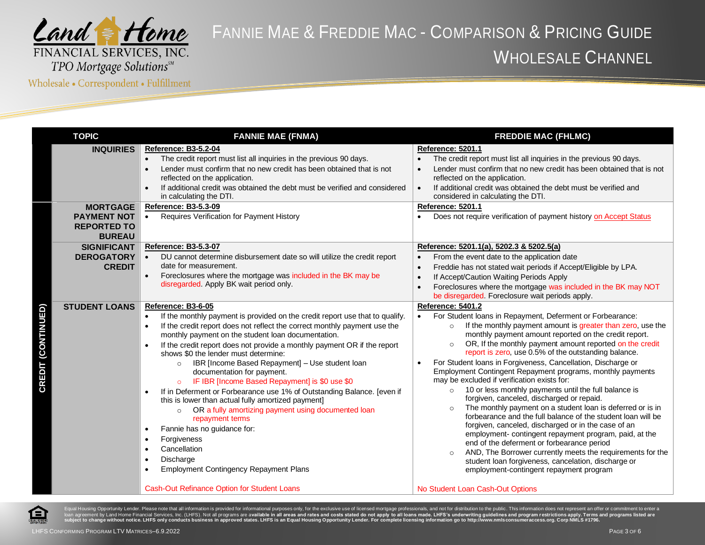

Wholesale • Correspondent • Fulfillment

|                           | <b>TOPIC</b>                                                                 | <b>FANNIE MAE (FNMA)</b>                                                                                                                                                                                                                                                                                                                                                                                                                                                                                                                                                                                                                                                                                                                                                                                                                                                                                                                                                        | <b>FREDDIE MAC (FHLMC)</b>                                                                                                                                                                                                                                                                                                                                                                                                                                                                                                                                                                                                                                                                                                                                                                                                                                                                                                                                                                                                                                                                                                                                             |
|---------------------------|------------------------------------------------------------------------------|---------------------------------------------------------------------------------------------------------------------------------------------------------------------------------------------------------------------------------------------------------------------------------------------------------------------------------------------------------------------------------------------------------------------------------------------------------------------------------------------------------------------------------------------------------------------------------------------------------------------------------------------------------------------------------------------------------------------------------------------------------------------------------------------------------------------------------------------------------------------------------------------------------------------------------------------------------------------------------|------------------------------------------------------------------------------------------------------------------------------------------------------------------------------------------------------------------------------------------------------------------------------------------------------------------------------------------------------------------------------------------------------------------------------------------------------------------------------------------------------------------------------------------------------------------------------------------------------------------------------------------------------------------------------------------------------------------------------------------------------------------------------------------------------------------------------------------------------------------------------------------------------------------------------------------------------------------------------------------------------------------------------------------------------------------------------------------------------------------------------------------------------------------------|
|                           | <b>INQUIRIES</b>                                                             | <b>Reference: B3-5.2-04</b><br>The credit report must list all inquiries in the previous 90 days.<br>Lender must confirm that no new credit has been obtained that is not<br>$\bullet$<br>reflected on the application.<br>If additional credit was obtained the debt must be verified and considered<br>in calculating the DTI.                                                                                                                                                                                                                                                                                                                                                                                                                                                                                                                                                                                                                                                | <b>Reference: 5201.1</b><br>The credit report must list all inquiries in the previous 90 days.<br>Lender must confirm that no new credit has been obtained that is not<br>$\bullet$<br>reflected on the application.<br>If additional credit was obtained the debt must be verified and<br>$\bullet$<br>considered in calculating the DTI.                                                                                                                                                                                                                                                                                                                                                                                                                                                                                                                                                                                                                                                                                                                                                                                                                             |
|                           | <b>MORTGAGE</b><br><b>PAYMENT NOT</b><br><b>REPORTED TO</b><br><b>BUREAU</b> | <b>Reference: B3-5.3-09</b><br>Requires Verification for Payment History<br>$\bullet$                                                                                                                                                                                                                                                                                                                                                                                                                                                                                                                                                                                                                                                                                                                                                                                                                                                                                           | <b>Reference: 5201.1</b><br>Does not require verification of payment history on Accept Status                                                                                                                                                                                                                                                                                                                                                                                                                                                                                                                                                                                                                                                                                                                                                                                                                                                                                                                                                                                                                                                                          |
|                           | <b>SIGNIFICANT</b><br><b>DEROGATORY</b><br><b>CREDIT</b>                     | Reference: B3-5.3-07<br>DU cannot determine disbursement date so will utilize the credit report<br>date for measurement.<br>Foreclosures where the mortgage was included in the BK may be<br>disregarded. Apply BK wait period only.                                                                                                                                                                                                                                                                                                                                                                                                                                                                                                                                                                                                                                                                                                                                            | Reference: 5201.1(a), 5202.3 & 5202.5(a)<br>From the event date to the application date<br>Freddie has not stated wait periods if Accept/Eligible by LPA.<br>$\bullet$<br>If Accept/Caution Waiting Periods Apply<br>Foreclosures where the mortgage was included in the BK may NOT<br>be disregarded. Foreclosure wait periods apply.                                                                                                                                                                                                                                                                                                                                                                                                                                                                                                                                                                                                                                                                                                                                                                                                                                 |
| <b>CREDIT (CONTINUED)</b> | <b>STUDENT LOANS</b>                                                         | Reference: B3-6-05<br>If the monthly payment is provided on the credit report use that to qualify.<br>If the credit report does not reflect the correct monthly payment use the<br>$\bullet$<br>monthly payment on the student loan documentation.<br>If the credit report does not provide a monthly payment OR if the report<br>$\bullet$<br>shows \$0 the lender must determine:<br>IBR [Income Based Repayment] - Use student loan<br>$\circ$<br>documentation for payment.<br>IF IBR [Income Based Repayment] is \$0 use \$0<br>If in Deferment or Forbearance use 1% of Outstanding Balance. [even if<br>this is lower than actual fully amortized payment]<br>OR a fully amortizing payment using documented loan<br>$\circ$<br>repayment terms<br>Fannie has no guidance for:<br>$\bullet$<br>Forgiveness<br>$\bullet$<br>Cancellation<br>$\bullet$<br>Discharge<br><b>Employment Contingency Repayment Plans</b><br><b>Cash-Out Refinance Option for Student Loans</b> | Reference: 5401.2<br>For Student loans in Repayment, Deferment or Forbearance:<br>$\bullet$<br>If the monthly payment amount is greater than zero, use the<br>$\circ$<br>monthly payment amount reported on the credit report.<br>OR, If the monthly payment amount reported on the credit<br>$\circ$<br>report is zero, use 0.5% of the outstanding balance.<br>For Student Ioans in Forgiveness, Cancellation, Discharge or<br>Employment Contingent Repayment programs, monthly payments<br>may be excluded if verification exists for:<br>10 or less monthly payments until the full balance is<br>$\circ$<br>forgiven, canceled, discharged or repaid.<br>The monthly payment on a student loan is deferred or is in<br>$\circ$<br>forbearance and the full balance of the student loan will be<br>forgiven, canceled, discharged or in the case of an<br>employment-contingent repayment program, paid, at the<br>end of the deferment or forbearance period<br>AND, The Borrower currently meets the requirements for the<br>student loan forgiveness, cancelation, discharge or<br>employment-contingent repayment program<br>No Student Loan Cash-Out Options |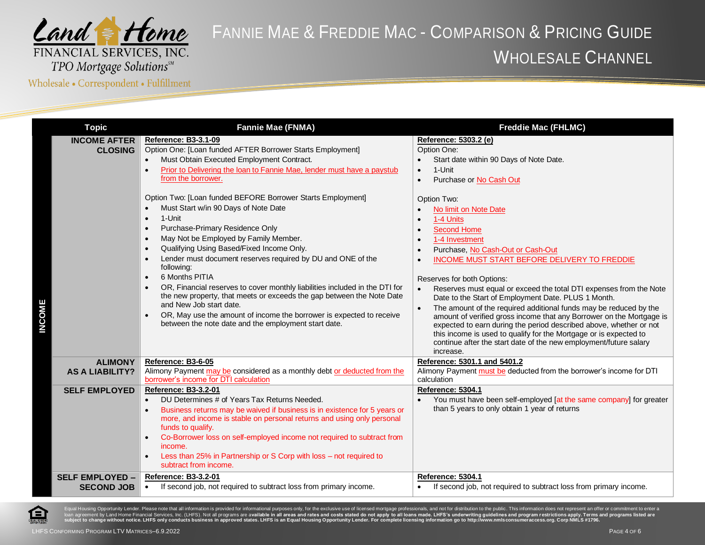

Wholesale • Correspondent • Fulfillment

| <b>Topic</b>                                | <b>Fannie Mae (FNMA)</b>                                                                                                                                                                                                                                                                                                                                                                                                                                                                                                                                                                                                                                                                                                               | <b>Freddie Mac (FHLMC)</b>                                                                                                                                                                                                                                                                                                                                                                                                                                                                                                                                                                                                                                                                                                                    |
|---------------------------------------------|----------------------------------------------------------------------------------------------------------------------------------------------------------------------------------------------------------------------------------------------------------------------------------------------------------------------------------------------------------------------------------------------------------------------------------------------------------------------------------------------------------------------------------------------------------------------------------------------------------------------------------------------------------------------------------------------------------------------------------------|-----------------------------------------------------------------------------------------------------------------------------------------------------------------------------------------------------------------------------------------------------------------------------------------------------------------------------------------------------------------------------------------------------------------------------------------------------------------------------------------------------------------------------------------------------------------------------------------------------------------------------------------------------------------------------------------------------------------------------------------------|
| <b>INCOME AFTER</b><br><b>CLOSING</b>       | <b>Reference: B3-3.1-09</b><br>Option One: [Loan funded AFTER Borrower Starts Employment]<br>Must Obtain Executed Employment Contract.<br>Prior to Delivering the loan to Fannie Mae, lender must have a paystub<br>from the borrower.                                                                                                                                                                                                                                                                                                                                                                                                                                                                                                 | Reference: 5303.2 (e)<br>Option One:<br>Start date within 90 Days of Note Date.<br>1-Unit<br>$\bullet$<br>Purchase or No Cash Out<br>$\bullet$                                                                                                                                                                                                                                                                                                                                                                                                                                                                                                                                                                                                |
| <b>INCOME</b>                               | Option Two: [Loan funded BEFORE Borrower Starts Employment]<br>Must Start w/in 90 Days of Note Date<br>1-Unit<br>$\bullet$<br>Purchase-Primary Residence Only<br>$\bullet$<br>May Not be Employed by Family Member.<br>$\bullet$<br>Qualifying Using Based/Fixed Income Only.<br>$\bullet$<br>Lender must document reserves required by DU and ONE of the<br>following:<br>6 Months PITIA<br>$\bullet$<br>OR, Financial reserves to cover monthly liabilities included in the DTI for<br>the new property, that meets or exceeds the gap between the Note Date<br>and New Job start date.<br>OR, May use the amount of income the borrower is expected to receive<br>$\bullet$<br>between the note date and the employment start date. | Option Two:<br>No limit on Note Date<br>$\bullet$<br>1-4 Units<br><b>Second Home</b><br>1-4 Investment<br>Purchase, No Cash-Out or Cash-Out<br>INCOME MUST START BEFORE DELIVERY TO FREDDIE<br>Reserves for both Options:<br>Reserves must equal or exceed the total DTI expenses from the Note<br>Date to the Start of Employment Date. PLUS 1 Month.<br>The amount of the required additional funds may be reduced by the<br>$\bullet$<br>amount of verified gross income that any Borrower on the Mortgage is<br>expected to earn during the period described above, whether or not<br>this income is used to qualify for the Mortgage or is expected to<br>continue after the start date of the new employment/future salary<br>increase. |
| <b>ALIMONY</b><br><b>AS A LIABILITY?</b>    | Reference: B3-6-05<br>Alimony Payment may be considered as a monthly debt or deducted from the<br>borrower's income for DTI calculation                                                                                                                                                                                                                                                                                                                                                                                                                                                                                                                                                                                                | Reference: 5301.1 and 5401.2<br>Alimony Payment must be deducted from the borrower's income for DTI<br>calculation                                                                                                                                                                                                                                                                                                                                                                                                                                                                                                                                                                                                                            |
| <b>SELF EMPLOYED</b>                        | <b>Reference: B3-3.2-01</b><br>DU Determines # of Years Tax Returns Needed.<br>Business returns may be waived if business is in existence for 5 years or<br>more, and income is stable on personal returns and using only personal<br>funds to qualify.<br>Co-Borrower loss on self-employed income not required to subtract from<br>income.<br>Less than 25% in Partnership or S Corp with loss - not required to<br>subtract from income.                                                                                                                                                                                                                                                                                            | <b>Reference: 5304.1</b><br>You must have been self-employed [at the same company] for greater<br>than 5 years to only obtain 1 year of returns                                                                                                                                                                                                                                                                                                                                                                                                                                                                                                                                                                                               |
| <b>SELF EMPLOYED -</b><br><b>SECOND JOB</b> | <b>Reference: B3-3.2-01</b><br>If second job, not required to subtract loss from primary income.<br>$\bullet$                                                                                                                                                                                                                                                                                                                                                                                                                                                                                                                                                                                                                          | Reference: 5304.1<br>If second job, not required to subtract loss from primary income.                                                                                                                                                                                                                                                                                                                                                                                                                                                                                                                                                                                                                                                        |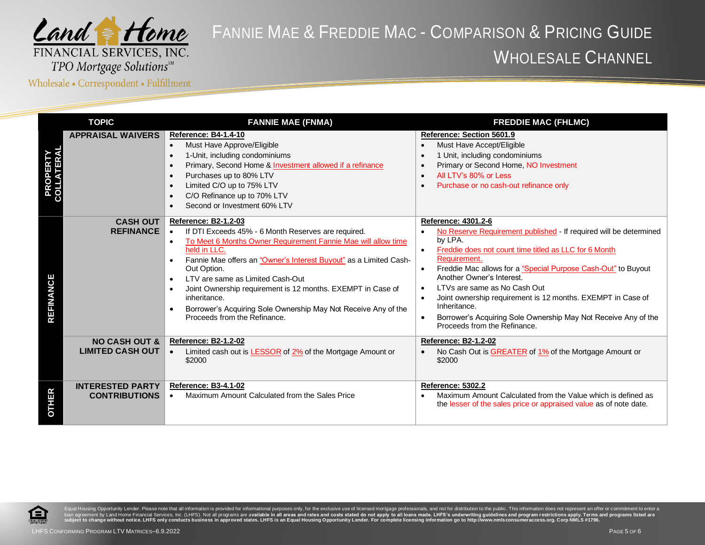

Wholesale • Correspondent • Fulfillment

| <b>TOPIC</b>               |                                                     | <b>FANNIE MAE (FNMA)</b>                                                                                                                                                                                                                                                                                                                                                                                                                                                                                                                      | <b>FREDDIE MAC (FHLMC)</b>                                                                                                                                                                                                                                                                                                                                                                                                                                                                                                                                   |
|----------------------------|-----------------------------------------------------|-----------------------------------------------------------------------------------------------------------------------------------------------------------------------------------------------------------------------------------------------------------------------------------------------------------------------------------------------------------------------------------------------------------------------------------------------------------------------------------------------------------------------------------------------|--------------------------------------------------------------------------------------------------------------------------------------------------------------------------------------------------------------------------------------------------------------------------------------------------------------------------------------------------------------------------------------------------------------------------------------------------------------------------------------------------------------------------------------------------------------|
| <b>PROPER<br/>COLLATER</b> | <b>APPRAISAL WAIVERS</b>                            | <b>Reference: B4-1.4-10</b><br>Must Have Approve/Eligible<br>$\bullet$<br>1-Unit, including condominiums<br>$\bullet$<br>Primary, Second Home & Investment allowed if a refinance<br>$\bullet$<br>Purchases up to 80% LTV<br>$\bullet$<br>Limited C/O up to 75% LTV<br>$\bullet$<br>C/O Refinance up to 70% LTV<br>$\bullet$<br>Second or Investment 60% LTV<br>$\bullet$                                                                                                                                                                     | Reference: Section 5601.9<br>Must Have Accept/Eligible<br>1 Unit, including condominiums<br>$\bullet$<br>Primary or Second Home, NO Investment<br>All LTV's 80% or Less<br>$\bullet$<br>Purchase or no cash-out refinance only<br>$\bullet$                                                                                                                                                                                                                                                                                                                  |
| <b>REFINANCE</b>           | <b>CASH OUT</b><br><b>REFINANCE</b>                 | <b>Reference: B2-1.2-03</b><br>If DTI Exceeds 45% - 6 Month Reserves are required.<br>$\bullet$<br>To Meet 6 Months Owner Requirement Fannie Mae will allow time<br>$\bullet$<br>held in LLC.<br>Fannie Mae offers an "Owner's Interest Buyout" as a Limited Cash-<br>Out Option.<br>LTV are same as Limited Cash-Out<br>$\bullet$<br>Joint Ownership requirement is 12 months. EXEMPT in Case of<br>$\bullet$<br>inheritance.<br>Borrower's Acquiring Sole Ownership May Not Receive Any of the<br>$\bullet$<br>Proceeds from the Refinance. | Reference: 4301.2-6<br>No Reserve Requirement published - If required will be determined<br>by LPA.<br>Freddie does not count time titled as LLC for 6 Month<br>$\bullet$<br>Requirement.<br>Freddie Mac allows for a "Special Purpose Cash-Out" to Buyout<br>$\bullet$<br>Another Owner's Interest.<br>LTVs are same as No Cash Out<br>$\bullet$<br>Joint ownership requirement is 12 months. EXEMPT in Case of<br>$\bullet$<br>Inheritance.<br>Borrower's Acquiring Sole Ownership May Not Receive Any of the<br>$\bullet$<br>Proceeds from the Refinance. |
|                            | <b>NO CASH OUT &amp;</b><br><b>LIMITED CASH OUT</b> | <b>Reference: B2-1.2-02</b><br>Limited cash out is <b>LESSOR</b> of 2% of the Mortgage Amount or<br>$\bullet$<br>\$2000                                                                                                                                                                                                                                                                                                                                                                                                                       | <b>Reference: B2-1.2-02</b><br>No Cash Out is GREATER of 1% of the Mortgage Amount or<br>\$2000                                                                                                                                                                                                                                                                                                                                                                                                                                                              |
| HER                        | <b>INTERESTED PARTY</b><br><b>CONTRIBUTIONS</b>     | Reference: B3-4.1-02<br>Maximum Amount Calculated from the Sales Price<br>$\bullet$                                                                                                                                                                                                                                                                                                                                                                                                                                                           | Reference: 5302.2<br>Maximum Amount Calculated from the Value which is defined as<br>the lesser of the sales price or appraised value as of note date.                                                                                                                                                                                                                                                                                                                                                                                                       |